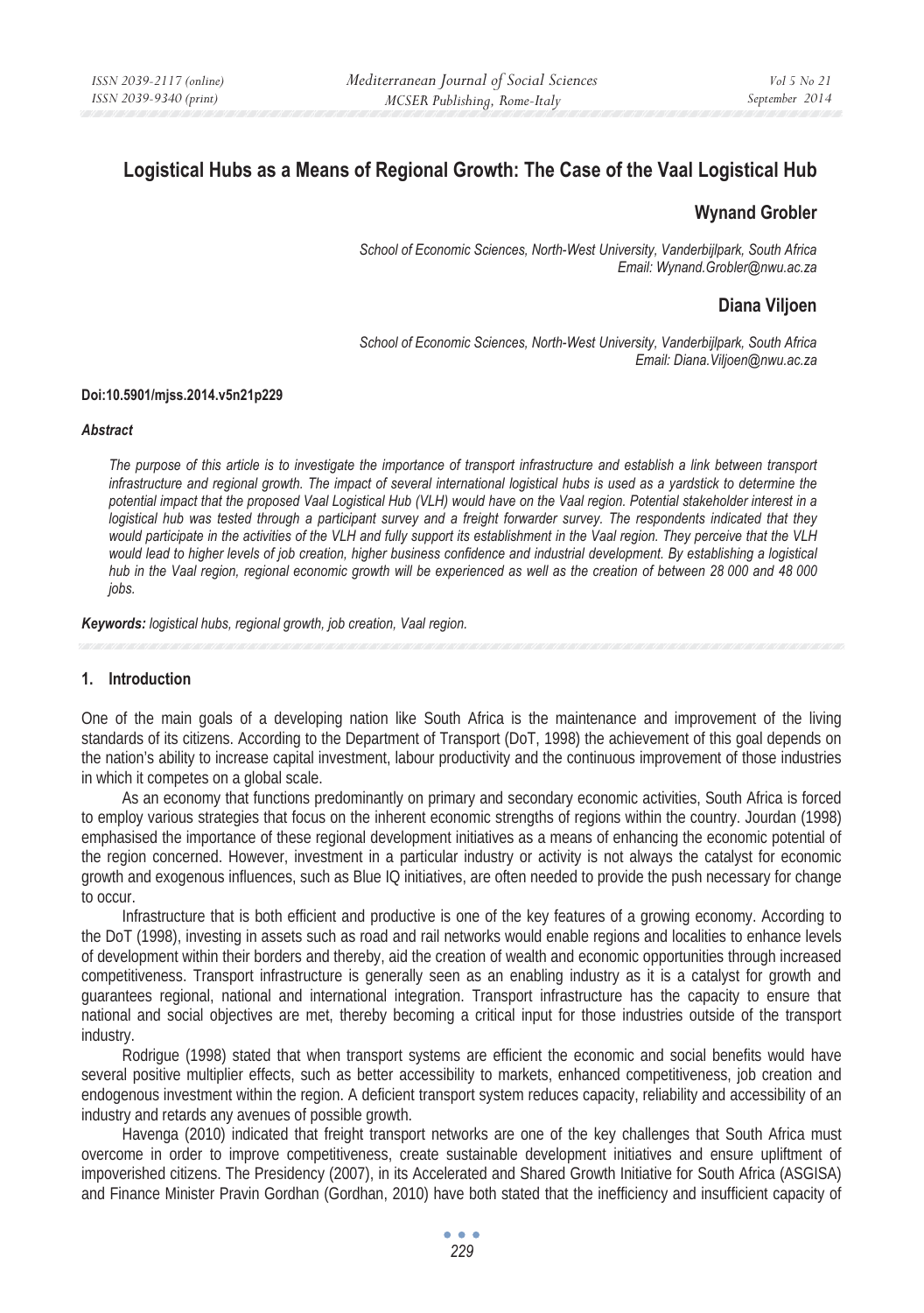# **Logistical Hubs as a Means of Regional Growth: The Case of the Vaal Logistical Hub**

## **Wynand Grobler**

*School of Economic Sciences, North-West University, Vanderbijlpark, South Africa Email: Wynand.Grobler@nwu.ac.za* 

# **Diana Viljoen**

*School of Economic Sciences, North-West University, Vanderbijlpark, South Africa Email: Diana.Viljoen@nwu.ac.za* 

#### **Doi:10.5901/mjss.2014.v5n21p229**

#### *Abstract*

*The purpose of this article is to investigate the importance of transport infrastructure and establish a link between transport infrastructure and regional growth. The impact of several international logistical hubs is used as a yardstick to determine the potential impact that the proposed Vaal Logistical Hub (VLH) would have on the Vaal region. Potential stakeholder interest in a logistical hub was tested through a participant survey and a freight forwarder survey. The respondents indicated that they would participate in the activities of the VLH and fully support its establishment in the Vaal region. They perceive that the VLH would lead to higher levels of job creation, higher business confidence and industrial development. By establishing a logistical hub in the Vaal region, regional economic growth will be experienced as well as the creation of between 28 000 and 48 000 jobs.* 

*Keywords: logistical hubs, regional growth, job creation, Vaal region.*

#### **1. Introduction**

One of the main goals of a developing nation like South Africa is the maintenance and improvement of the living standards of its citizens. According to the Department of Transport (DoT, 1998) the achievement of this goal depends on the nation's ability to increase capital investment, labour productivity and the continuous improvement of those industries in which it competes on a global scale.

As an economy that functions predominantly on primary and secondary economic activities, South Africa is forced to employ various strategies that focus on the inherent economic strengths of regions within the country. Jourdan (1998) emphasised the importance of these regional development initiatives as a means of enhancing the economic potential of the region concerned. However, investment in a particular industry or activity is not always the catalyst for economic growth and exogenous influences, such as Blue IQ initiatives, are often needed to provide the push necessary for change to occur.

Infrastructure that is both efficient and productive is one of the key features of a growing economy. According to the DoT (1998), investing in assets such as road and rail networks would enable regions and localities to enhance levels of development within their borders and thereby, aid the creation of wealth and economic opportunities through increased competitiveness. Transport infrastructure is generally seen as an enabling industry as it is a catalyst for growth and guarantees regional, national and international integration. Transport infrastructure has the capacity to ensure that national and social objectives are met, thereby becoming a critical input for those industries outside of the transport industry.

Rodrigue (1998) stated that when transport systems are efficient the economic and social benefits would have several positive multiplier effects, such as better accessibility to markets, enhanced competitiveness, job creation and endogenous investment within the region. A deficient transport system reduces capacity, reliability and accessibility of an industry and retards any avenues of possible growth.

Havenga (2010) indicated that freight transport networks are one of the key challenges that South Africa must overcome in order to improve competitiveness, create sustainable development initiatives and ensure upliftment of impoverished citizens. The Presidency (2007), in its Accelerated and Shared Growth Initiative for South Africa (ASGISA) and Finance Minister Pravin Gordhan (Gordhan, 2010) have both stated that the inefficiency and insufficient capacity of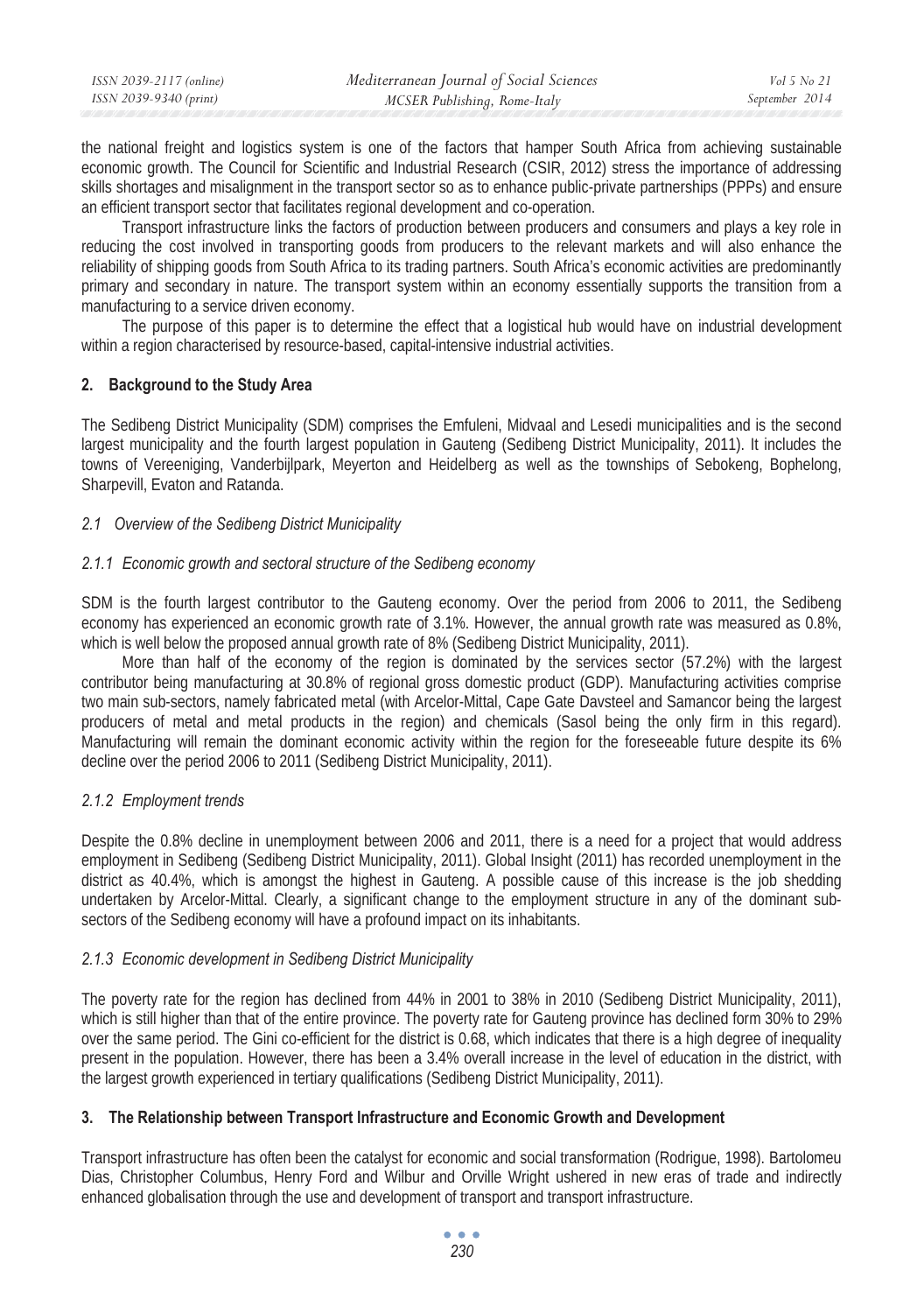| ISSN 2039-2117 (online) | Mediterranean Journal of Social Sciences | Vol 5 No 21    |
|-------------------------|------------------------------------------|----------------|
| ISSN 2039-9340 (print)  | MCSER Publishing, Rome-Italy             | September 2014 |

the national freight and logistics system is one of the factors that hamper South Africa from achieving sustainable economic growth. The Council for Scientific and Industrial Research (CSIR, 2012) stress the importance of addressing skills shortages and misalignment in the transport sector so as to enhance public-private partnerships (PPPs) and ensure an efficient transport sector that facilitates regional development and co-operation.

Transport infrastructure links the factors of production between producers and consumers and plays a key role in reducing the cost involved in transporting goods from producers to the relevant markets and will also enhance the reliability of shipping goods from South Africa to its trading partners. South Africa's economic activities are predominantly primary and secondary in nature. The transport system within an economy essentially supports the transition from a manufacturing to a service driven economy.

The purpose of this paper is to determine the effect that a logistical hub would have on industrial development within a region characterised by resource-based, capital-intensive industrial activities.

### **2. Background to the Study Area**

The Sedibeng District Municipality (SDM) comprises the Emfuleni, Midvaal and Lesedi municipalities and is the second largest municipality and the fourth largest population in Gauteng (Sedibeng District Municipality, 2011). It includes the towns of Vereeniging, Vanderbijlpark, Meyerton and Heidelberg as well as the townships of Sebokeng, Bophelong, Sharpevill, Evaton and Ratanda.

### *2.1 Overview of the Sedibeng District Municipality*

### *2.1.1 Economic growth and sectoral structure of the Sedibeng economy*

SDM is the fourth largest contributor to the Gauteng economy. Over the period from 2006 to 2011, the Sedibeng economy has experienced an economic growth rate of 3.1%. However, the annual growth rate was measured as 0.8%, which is well below the proposed annual growth rate of 8% (Sedibeng District Municipality, 2011).

More than half of the economy of the region is dominated by the services sector (57.2%) with the largest contributor being manufacturing at 30.8% of regional gross domestic product (GDP). Manufacturing activities comprise two main sub-sectors, namely fabricated metal (with Arcelor-Mittal, Cape Gate Davsteel and Samancor being the largest producers of metal and metal products in the region) and chemicals (Sasol being the only firm in this regard). Manufacturing will remain the dominant economic activity within the region for the foreseeable future despite its 6% decline over the period 2006 to 2011 (Sedibeng District Municipality, 2011).

### *2.1.2 Employment trends*

Despite the 0.8% decline in unemployment between 2006 and 2011, there is a need for a project that would address employment in Sedibeng (Sedibeng District Municipality, 2011). Global Insight (2011) has recorded unemployment in the district as 40.4%, which is amongst the highest in Gauteng. A possible cause of this increase is the job shedding undertaken by Arcelor-Mittal. Clearly, a significant change to the employment structure in any of the dominant subsectors of the Sedibeng economy will have a profound impact on its inhabitants.

### *2.1.3 Economic development in Sedibeng District Municipality*

The poverty rate for the region has declined from 44% in 2001 to 38% in 2010 (Sedibeng District Municipality, 2011), which is still higher than that of the entire province. The poverty rate for Gauteng province has declined form 30% to 29% over the same period. The Gini co-efficient for the district is 0.68, which indicates that there is a high degree of inequality present in the population. However, there has been a 3.4% overall increase in the level of education in the district, with the largest growth experienced in tertiary qualifications (Sedibeng District Municipality, 2011).

### **3. The Relationship between Transport Infrastructure and Economic Growth and Development**

Transport infrastructure has often been the catalyst for economic and social transformation (Rodrigue, 1998). Bartolomeu Dias, Christopher Columbus, Henry Ford and Wilbur and Orville Wright ushered in new eras of trade and indirectly enhanced globalisation through the use and development of transport and transport infrastructure.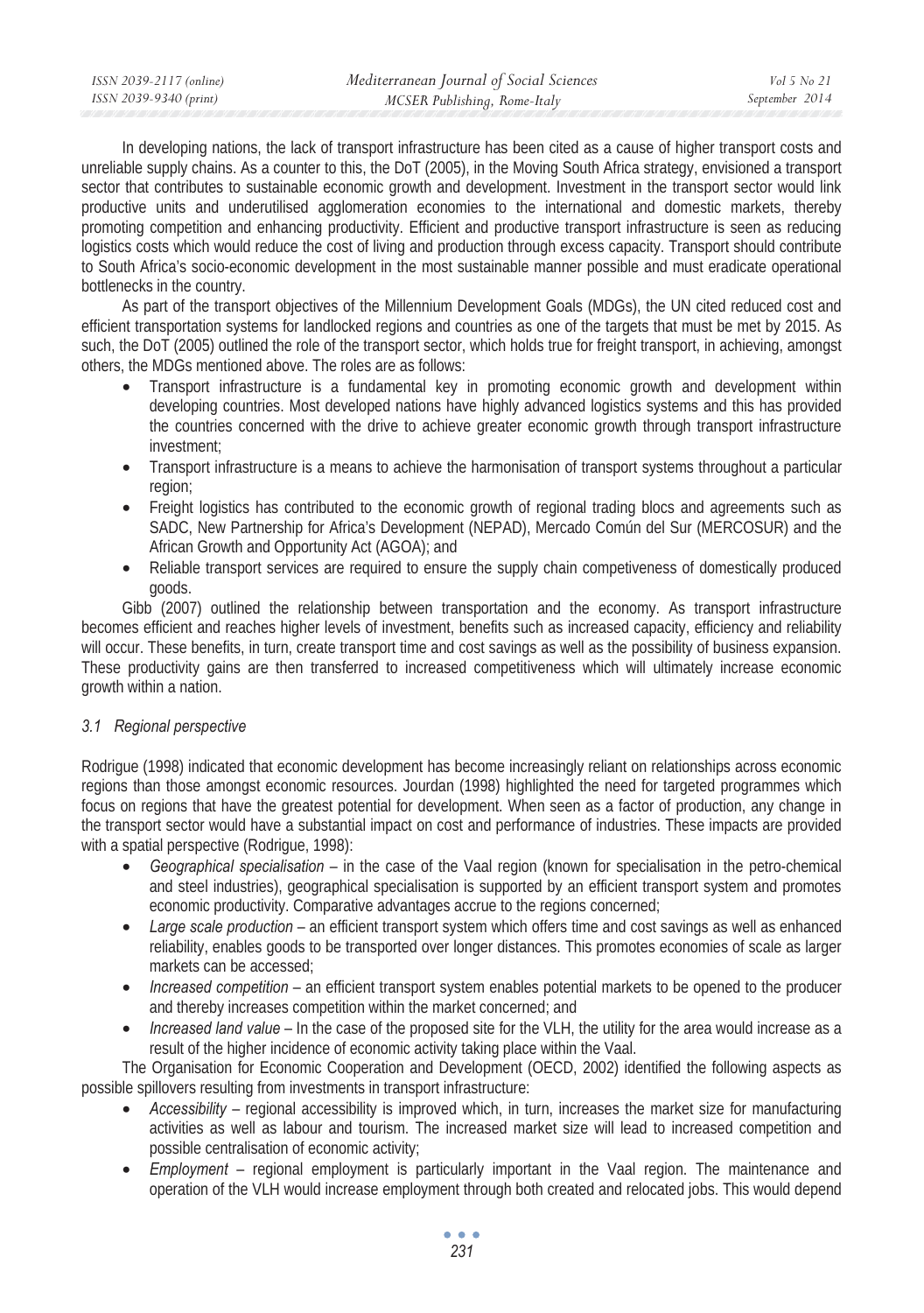| ISSN 2039-2117 (online) | Mediterranean Journal of Social Sciences | Vol 5 No 21    |
|-------------------------|------------------------------------------|----------------|
| ISSN 2039-9340 (print)  | MCSER Publishing, Rome-Italy             | September 2014 |

In developing nations, the lack of transport infrastructure has been cited as a cause of higher transport costs and unreliable supply chains. As a counter to this, the DoT (2005), in the Moving South Africa strategy, envisioned a transport sector that contributes to sustainable economic growth and development. Investment in the transport sector would link productive units and underutilised agglomeration economies to the international and domestic markets, thereby promoting competition and enhancing productivity. Efficient and productive transport infrastructure is seen as reducing logistics costs which would reduce the cost of living and production through excess capacity. Transport should contribute to South Africa's socio-economic development in the most sustainable manner possible and must eradicate operational bottlenecks in the country.

As part of the transport objectives of the Millennium Development Goals (MDGs), the UN cited reduced cost and efficient transportation systems for landlocked regions and countries as one of the targets that must be met by 2015. As such, the DoT (2005) outlined the role of the transport sector, which holds true for freight transport, in achieving, amongst others, the MDGs mentioned above. The roles are as follows:

- Transport infrastructure is a fundamental key in promoting economic growth and development within developing countries. Most developed nations have highly advanced logistics systems and this has provided the countries concerned with the drive to achieve greater economic growth through transport infrastructure investment;
- Transport infrastructure is a means to achieve the harmonisation of transport systems throughout a particular region;
- Freight logistics has contributed to the economic growth of regional trading blocs and agreements such as SADC, New Partnership for Africa's Development (NEPAD), Mercado Común del Sur (MERCOSUR) and the African Growth and Opportunity Act (AGOA); and
- Reliable transport services are required to ensure the supply chain competiveness of domestically produced goods.

Gibb (2007) outlined the relationship between transportation and the economy. As transport infrastructure becomes efficient and reaches higher levels of investment, benefits such as increased capacity, efficiency and reliability will occur. These benefits, in turn, create transport time and cost savings as well as the possibility of business expansion. These productivity gains are then transferred to increased competitiveness which will ultimately increase economic growth within a nation.

### *3.1 Regional perspective*

Rodrigue (1998) indicated that economic development has become increasingly reliant on relationships across economic regions than those amongst economic resources. Jourdan (1998) highlighted the need for targeted programmes which focus on regions that have the greatest potential for development. When seen as a factor of production, any change in the transport sector would have a substantial impact on cost and performance of industries. These impacts are provided with a spatial perspective (Rodrigue, 1998):

- *Geographical specialisation* in the case of the Vaal region (known for specialisation in the petro-chemical and steel industries), geographical specialisation is supported by an efficient transport system and promotes economic productivity. Comparative advantages accrue to the regions concerned;
- *Large scale production* an efficient transport system which offers time and cost savings as well as enhanced reliability, enables goods to be transported over longer distances. This promotes economies of scale as larger markets can be accessed;
- *Increased competition* an efficient transport system enables potential markets to be opened to the producer and thereby increases competition within the market concerned; and
- *Increased land value* In the case of the proposed site for the VLH, the utility for the area would increase as a result of the higher incidence of economic activity taking place within the Vaal.

The Organisation for Economic Cooperation and Development (OECD, 2002) identified the following aspects as possible spillovers resulting from investments in transport infrastructure:

- *Accessibility* regional accessibility is improved which, in turn, increases the market size for manufacturing activities as well as labour and tourism. The increased market size will lead to increased competition and possible centralisation of economic activity;
- *Employment* regional employment is particularly important in the Vaal region. The maintenance and operation of the VLH would increase employment through both created and relocated jobs. This would depend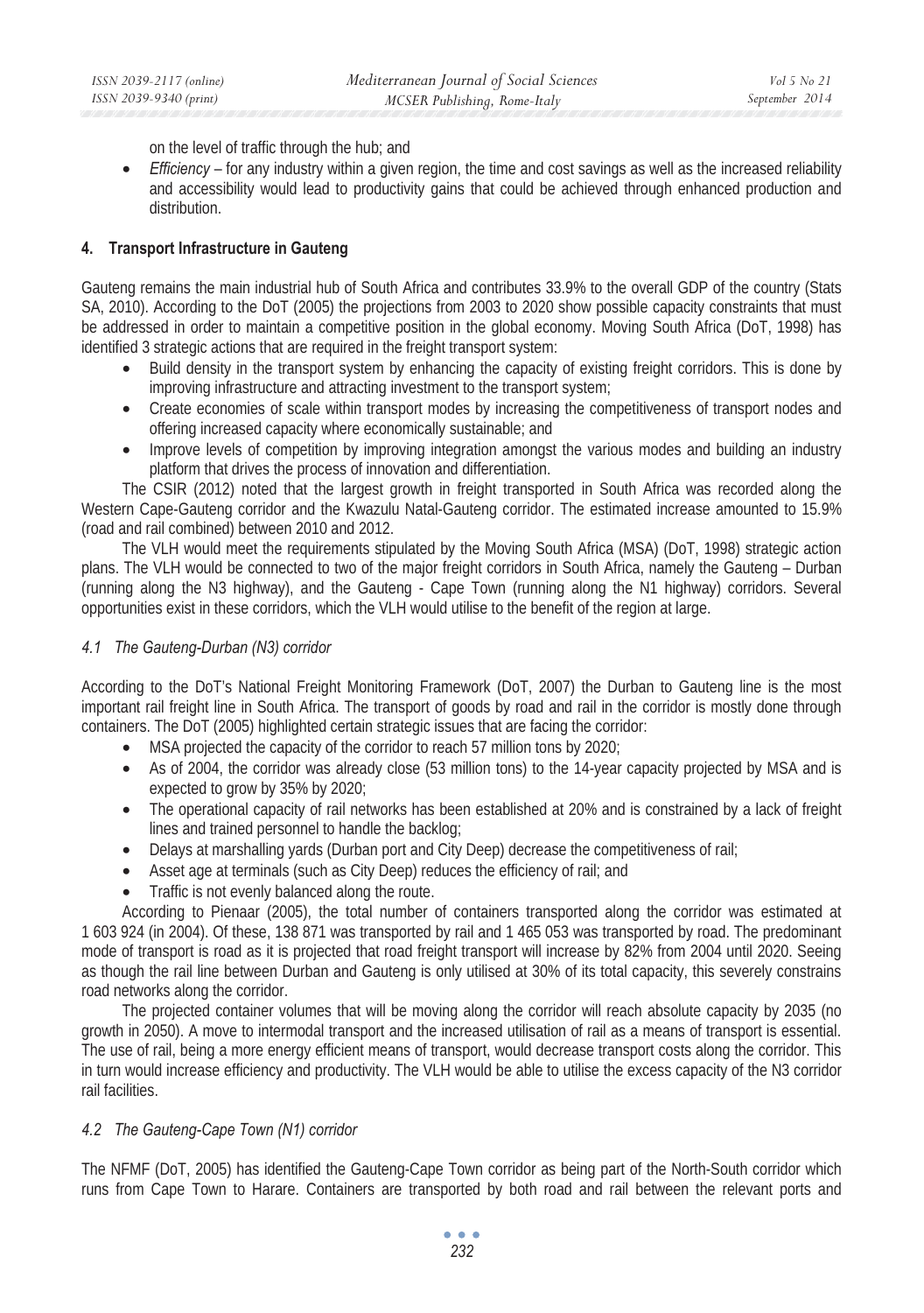on the level of traffic through the hub; and

• *Efficiency* – for any industry within a given region, the time and cost savings as well as the increased reliability and accessibility would lead to productivity gains that could be achieved through enhanced production and distribution.

## **4. Transport Infrastructure in Gauteng**

Gauteng remains the main industrial hub of South Africa and contributes 33.9% to the overall GDP of the country (Stats SA, 2010). According to the DoT (2005) the projections from 2003 to 2020 show possible capacity constraints that must be addressed in order to maintain a competitive position in the global economy. Moving South Africa (DoT, 1998) has identified 3 strategic actions that are required in the freight transport system:

- Build density in the transport system by enhancing the capacity of existing freight corridors. This is done by improving infrastructure and attracting investment to the transport system;
- Create economies of scale within transport modes by increasing the competitiveness of transport nodes and offering increased capacity where economically sustainable; and
- Improve levels of competition by improving integration amongst the various modes and building an industry platform that drives the process of innovation and differentiation.

The CSIR (2012) noted that the largest growth in freight transported in South Africa was recorded along the Western Cape-Gauteng corridor and the Kwazulu Natal-Gauteng corridor. The estimated increase amounted to 15.9% (road and rail combined) between 2010 and 2012.

The VLH would meet the requirements stipulated by the Moving South Africa (MSA) (DoT, 1998) strategic action plans. The VLH would be connected to two of the major freight corridors in South Africa, namely the Gauteng – Durban (running along the N3 highway), and the Gauteng - Cape Town (running along the N1 highway) corridors. Several opportunities exist in these corridors, which the VLH would utilise to the benefit of the region at large.

### *4.1 The Gauteng-Durban (N3) corridor*

According to the DoT's National Freight Monitoring Framework (DoT, 2007) the Durban to Gauteng line is the most important rail freight line in South Africa. The transport of goods by road and rail in the corridor is mostly done through containers. The DoT (2005) highlighted certain strategic issues that are facing the corridor:

- MSA projected the capacity of the corridor to reach 57 million tons by 2020;
- As of 2004, the corridor was already close (53 million tons) to the 14-year capacity projected by MSA and is expected to grow by 35% by 2020;
- The operational capacity of rail networks has been established at 20% and is constrained by a lack of freight lines and trained personnel to handle the backlog;
- Delays at marshalling yards (Durban port and City Deep) decrease the competitiveness of rail;
- Asset age at terminals (such as City Deep) reduces the efficiency of rail; and
- Traffic is not evenly balanced along the route.

According to Pienaar (2005), the total number of containers transported along the corridor was estimated at 1 603 924 (in 2004). Of these, 138 871 was transported by rail and 1 465 053 was transported by road. The predominant mode of transport is road as it is projected that road freight transport will increase by 82% from 2004 until 2020. Seeing as though the rail line between Durban and Gauteng is only utilised at 30% of its total capacity, this severely constrains road networks along the corridor.

The projected container volumes that will be moving along the corridor will reach absolute capacity by 2035 (no growth in 2050). A move to intermodal transport and the increased utilisation of rail as a means of transport is essential. The use of rail, being a more energy efficient means of transport, would decrease transport costs along the corridor. This in turn would increase efficiency and productivity. The VLH would be able to utilise the excess capacity of the N3 corridor rail facilities.

### *4.2 The Gauteng-Cape Town (N1) corridor*

The NFMF (DoT, 2005) has identified the Gauteng-Cape Town corridor as being part of the North-South corridor which runs from Cape Town to Harare. Containers are transported by both road and rail between the relevant ports and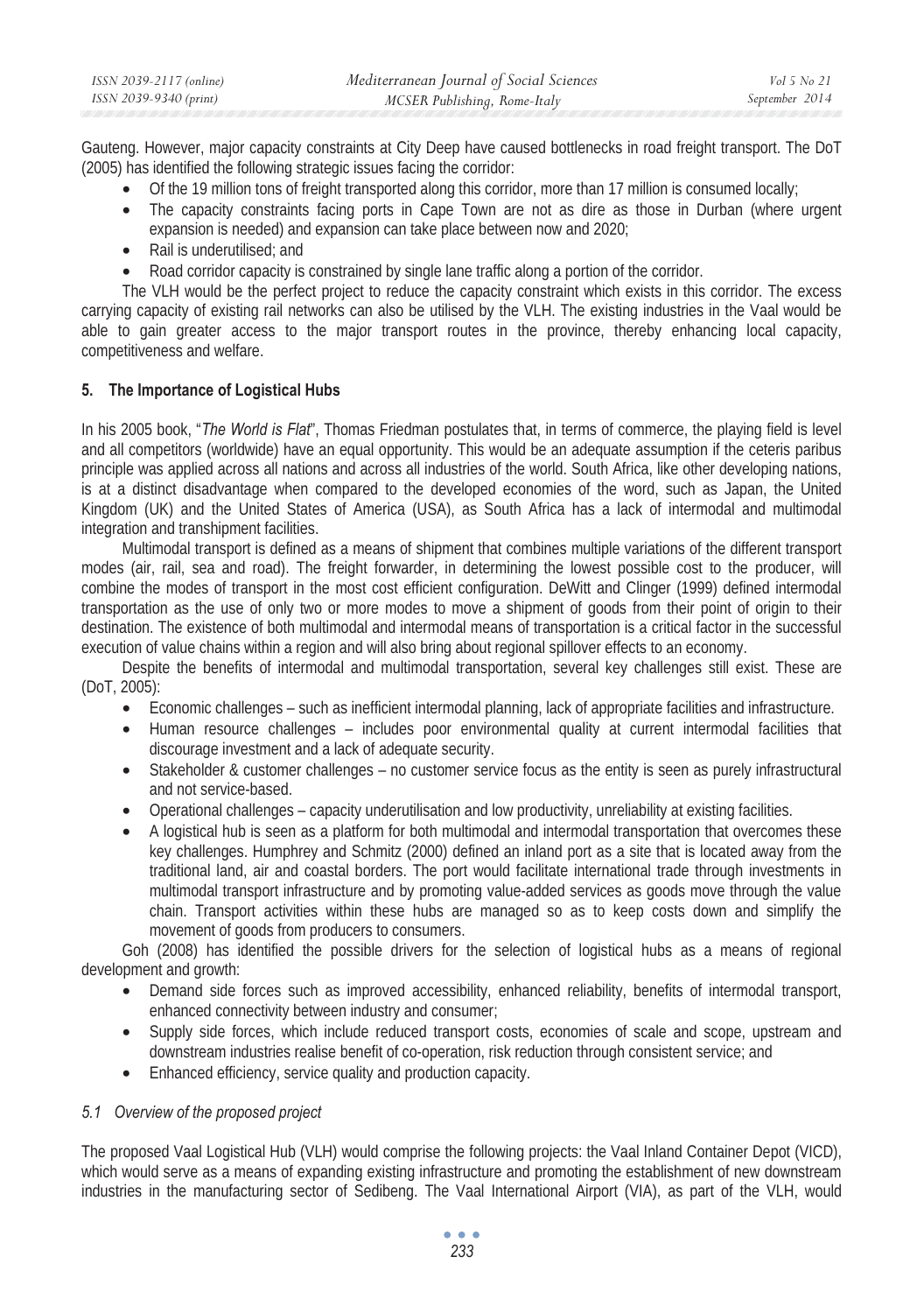| ISSN 2039-2117 (online) | Mediterranean Journal of Social Sciences | Vol 5 No 21    |
|-------------------------|------------------------------------------|----------------|
| ISSN 2039-9340 (print)  | MCSER Publishing, Rome-Italy             | September 2014 |

Gauteng. However, major capacity constraints at City Deep have caused bottlenecks in road freight transport. The DoT (2005) has identified the following strategic issues facing the corridor:

- Of the 19 million tons of freight transported along this corridor, more than 17 million is consumed locally;
- The capacity constraints facing ports in Cape Town are not as dire as those in Durban (where urgent expansion is needed) and expansion can take place between now and 2020;
- Rail is underutilised; and
- Road corridor capacity is constrained by single lane traffic along a portion of the corridor.

The VLH would be the perfect project to reduce the capacity constraint which exists in this corridor. The excess carrying capacity of existing rail networks can also be utilised by the VLH. The existing industries in the Vaal would be able to gain greater access to the major transport routes in the province, thereby enhancing local capacity, competitiveness and welfare.

### **5. The Importance of Logistical Hubs**

In his 2005 book, "*The World is Flat*", Thomas Friedman postulates that, in terms of commerce, the playing field is level and all competitors (worldwide) have an equal opportunity. This would be an adequate assumption if the ceteris paribus principle was applied across all nations and across all industries of the world. South Africa, like other developing nations, is at a distinct disadvantage when compared to the developed economies of the word, such as Japan, the United Kingdom (UK) and the United States of America (USA), as South Africa has a lack of intermodal and multimodal integration and transhipment facilities.

Multimodal transport is defined as a means of shipment that combines multiple variations of the different transport modes (air, rail, sea and road). The freight forwarder, in determining the lowest possible cost to the producer, will combine the modes of transport in the most cost efficient configuration. DeWitt and Clinger (1999) defined intermodal transportation as the use of only two or more modes to move a shipment of goods from their point of origin to their destination. The existence of both multimodal and intermodal means of transportation is a critical factor in the successful execution of value chains within a region and will also bring about regional spillover effects to an economy.

Despite the benefits of intermodal and multimodal transportation, several key challenges still exist. These are (DoT, 2005):

- Economic challenges such as inefficient intermodal planning, lack of appropriate facilities and infrastructure.
- Human resource challenges includes poor environmental quality at current intermodal facilities that discourage investment and a lack of adequate security.
- Stakeholder & customer challenges no customer service focus as the entity is seen as purely infrastructural and not service-based.
- Operational challenges capacity underutilisation and low productivity, unreliability at existing facilities.
- A logistical hub is seen as a platform for both multimodal and intermodal transportation that overcomes these key challenges. Humphrey and Schmitz (2000) defined an inland port as a site that is located away from the traditional land, air and coastal borders. The port would facilitate international trade through investments in multimodal transport infrastructure and by promoting value-added services as goods move through the value chain. Transport activities within these hubs are managed so as to keep costs down and simplify the movement of goods from producers to consumers.

Goh (2008) has identified the possible drivers for the selection of logistical hubs as a means of regional development and growth:

- Demand side forces such as improved accessibility, enhanced reliability, benefits of intermodal transport, enhanced connectivity between industry and consumer;
- Supply side forces, which include reduced transport costs, economies of scale and scope, upstream and downstream industries realise benefit of co-operation, risk reduction through consistent service; and
- Enhanced efficiency, service quality and production capacity.

### *5.1 Overview of the proposed project*

The proposed Vaal Logistical Hub (VLH) would comprise the following projects: the Vaal Inland Container Depot (VICD), which would serve as a means of expanding existing infrastructure and promoting the establishment of new downstream industries in the manufacturing sector of Sedibeng. The Vaal International Airport (VIA), as part of the VLH, would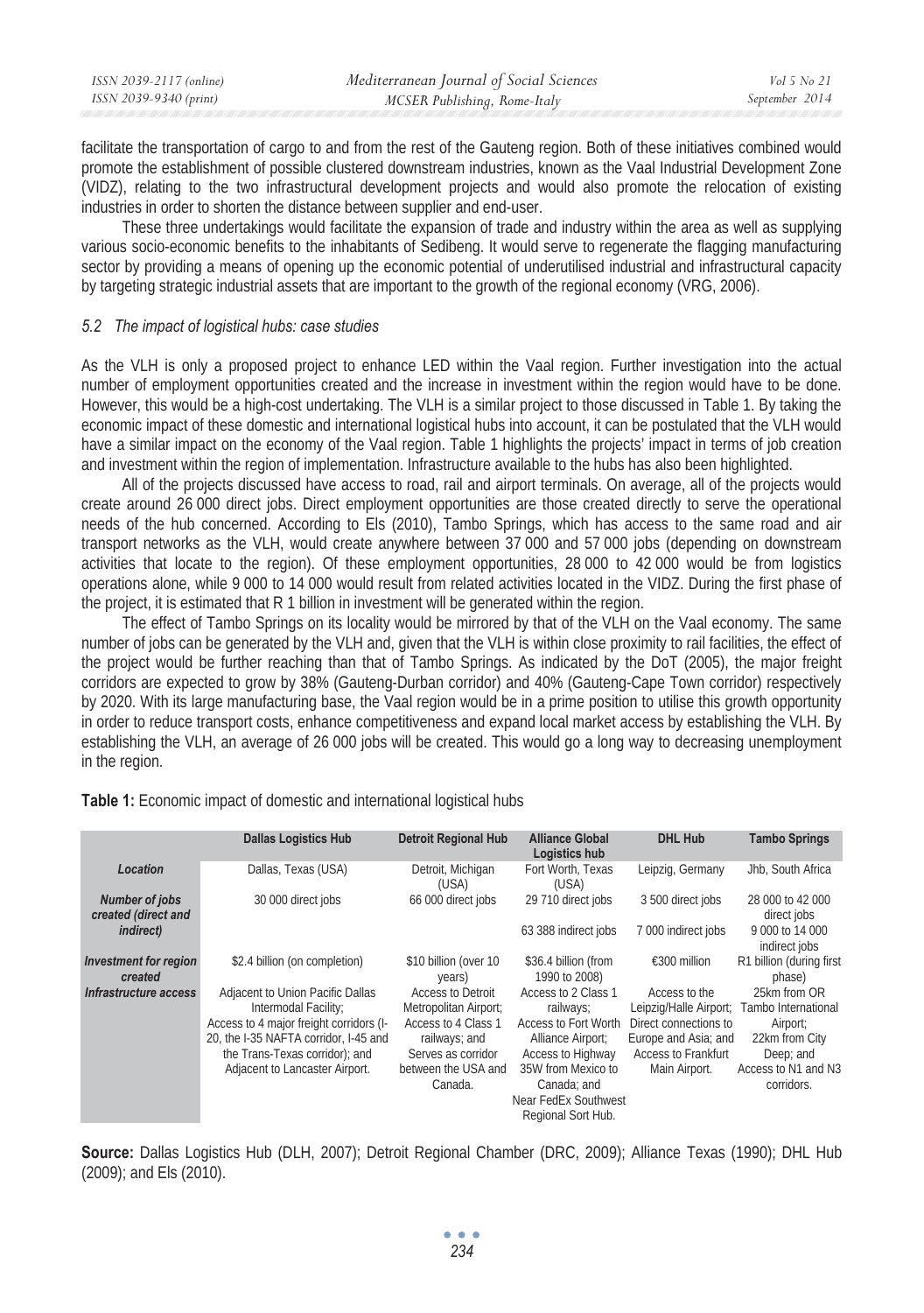| ISSN 2039-2117 (online) | Mediterranean Journal of Social Sciences | Vol 5 No 21    |
|-------------------------|------------------------------------------|----------------|
| ISSN 2039-9340 (print)  | MCSER Publishing, Rome-Italy             | September 2014 |

facilitate the transportation of cargo to and from the rest of the Gauteng region. Both of these initiatives combined would promote the establishment of possible clustered downstream industries, known as the Vaal Industrial Development Zone (VIDZ), relating to the two infrastructural development projects and would also promote the relocation of existing industries in order to shorten the distance between supplier and end-user.

These three undertakings would facilitate the expansion of trade and industry within the area as well as supplying various socio-economic benefits to the inhabitants of Sedibeng. It would serve to regenerate the flagging manufacturing sector by providing a means of opening up the economic potential of underutilised industrial and infrastructural capacity by targeting strategic industrial assets that are important to the growth of the regional economy (VRG, 2006).

#### *5.2 The impact of logistical hubs: case studies*

As the VLH is only a proposed project to enhance LED within the Vaal region. Further investigation into the actual number of employment opportunities created and the increase in investment within the region would have to be done. However, this would be a high-cost undertaking. The VLH is a similar project to those discussed in Table 1. By taking the economic impact of these domestic and international logistical hubs into account, it can be postulated that the VLH would have a similar impact on the economy of the Vaal region. Table 1 highlights the projects' impact in terms of job creation and investment within the region of implementation. Infrastructure available to the hubs has also been highlighted.

All of the projects discussed have access to road, rail and airport terminals. On average, all of the projects would create around 26 000 direct jobs. Direct employment opportunities are those created directly to serve the operational needs of the hub concerned. According to Els (2010), Tambo Springs, which has access to the same road and air transport networks as the VLH, would create anywhere between 37 000 and 57 000 jobs (depending on downstream activities that locate to the region). Of these employment opportunities, 28 000 to 42 000 would be from logistics operations alone, while 9 000 to 14 000 would result from related activities located in the VIDZ. During the first phase of the project, it is estimated that R 1 billion in investment will be generated within the region.

The effect of Tambo Springs on its locality would be mirrored by that of the VLH on the Vaal economy. The same number of jobs can be generated by the VLH and, given that the VLH is within close proximity to rail facilities, the effect of the project would be further reaching than that of Tambo Springs. As indicated by the DoT (2005), the major freight corridors are expected to grow by 38% (Gauteng-Durban corridor) and 40% (Gauteng-Cape Town corridor) respectively by 2020. With its large manufacturing base, the Vaal region would be in a prime position to utilise this growth opportunity in order to reduce transport costs, enhance competitiveness and expand local market access by establishing the VLH. By establishing the VLH, an average of 26 000 jobs will be created. This would go a long way to decreasing unemployment in the region.

|                                              | <b>Dallas Logistics Hub</b>                                                                                                                                                                                      | <b>Detroit Regional Hub</b>                                                                                                     | <b>Alliance Global</b><br>Logistics hub                                                                                         | <b>DHL Hub</b>                                                                                                                          | <b>Tambo Springs</b>                                                                                  |
|----------------------------------------------|------------------------------------------------------------------------------------------------------------------------------------------------------------------------------------------------------------------|---------------------------------------------------------------------------------------------------------------------------------|---------------------------------------------------------------------------------------------------------------------------------|-----------------------------------------------------------------------------------------------------------------------------------------|-------------------------------------------------------------------------------------------------------|
| Location                                     | Dallas, Texas (USA)                                                                                                                                                                                              | Detroit, Michigan<br>(USA)                                                                                                      | Fort Worth, Texas<br>(USA)                                                                                                      | Leipzig, Germany                                                                                                                        | Jhb. South Africa                                                                                     |
| <b>Number of jobs</b><br>created (direct and | 30 000 direct jobs                                                                                                                                                                                               | 66 000 direct jobs                                                                                                              | 29 710 direct jobs                                                                                                              | 3 500 direct jobs                                                                                                                       | 28 000 to 42 000<br>direct jobs                                                                       |
| <i>indirect</i> )                            |                                                                                                                                                                                                                  |                                                                                                                                 | 63 388 indirect jobs                                                                                                            | 7 000 indirect jobs                                                                                                                     | 9 000 to 14 000<br>indirect jobs                                                                      |
| <b>Investment for region</b><br>created      | \$2.4 billion (on completion)                                                                                                                                                                                    | \$10 billion (over 10<br>years)                                                                                                 | \$36.4 billion (from<br>1990 to 2008)                                                                                           | €300 million                                                                                                                            | R1 billion (during first)<br>phase)                                                                   |
| Infrastructure access                        | Adjacent to Union Pacific Dallas<br>Intermodal Facility:<br>Access to 4 major freight corridors (I-<br>20. the I-35 NAFTA corridor. I-45 and<br>the Trans-Texas corridor): and<br>Adjacent to Lancaster Airport. | Access to Detroit<br>Metropolitan Airport;<br>Access to 4 Class 1<br>railways; and<br>Serves as corridor<br>between the USA and | Access to 2 Class 1<br>railways;<br><b>Access to Fort Worth</b><br>Alliance Airport;<br>Access to Highway<br>35W from Mexico to | Access to the<br>Leipzig/Halle Airport:<br>Direct connections to<br>Europe and Asia; and<br><b>Access to Frankfurt</b><br>Main Airport. | 25km from OR<br>Tambo International<br>Airport:<br>22km from City<br>Deep; and<br>Access to N1 and N3 |
|                                              |                                                                                                                                                                                                                  | Canada.                                                                                                                         | Canada: and<br>Near FedEx Southwest<br>Regional Sort Hub.                                                                       |                                                                                                                                         | corridors.                                                                                            |

**Table 1:** Economic impact of domestic and international logistical hubs

**Source:** Dallas Logistics Hub (DLH, 2007); Detroit Regional Chamber (DRC, 2009); Alliance Texas (1990); DHL Hub (2009); and Els (2010).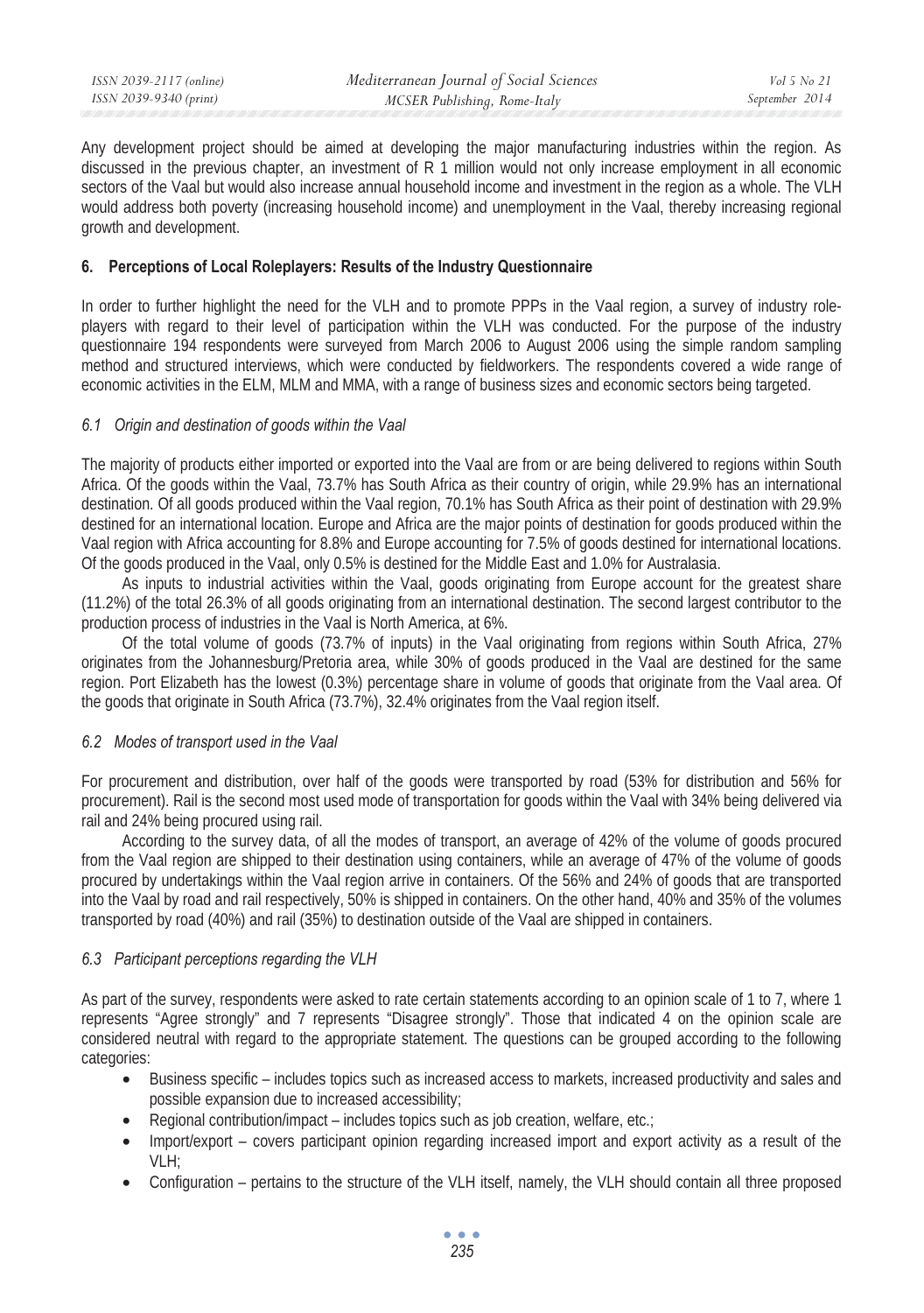Any development project should be aimed at developing the major manufacturing industries within the region. As discussed in the previous chapter, an investment of R 1 million would not only increase employment in all economic sectors of the Vaal but would also increase annual household income and investment in the region as a whole. The VLH would address both poverty (increasing household income) and unemployment in the Vaal, thereby increasing regional growth and development.

### **6. Perceptions of Local Roleplayers: Results of the Industry Questionnaire**

In order to further highlight the need for the VLH and to promote PPPs in the Vaal region, a survey of industry roleplayers with regard to their level of participation within the VLH was conducted. For the purpose of the industry questionnaire 194 respondents were surveyed from March 2006 to August 2006 using the simple random sampling method and structured interviews, which were conducted by fieldworkers. The respondents covered a wide range of economic activities in the ELM, MLM and MMA, with a range of business sizes and economic sectors being targeted.

### *6.1 Origin and destination of goods within the Vaal*

The majority of products either imported or exported into the Vaal are from or are being delivered to regions within South Africa. Of the goods within the Vaal, 73.7% has South Africa as their country of origin, while 29.9% has an international destination. Of all goods produced within the Vaal region, 70.1% has South Africa as their point of destination with 29.9% destined for an international location. Europe and Africa are the major points of destination for goods produced within the Vaal region with Africa accounting for 8.8% and Europe accounting for 7.5% of goods destined for international locations. Of the goods produced in the Vaal, only 0.5% is destined for the Middle East and 1.0% for Australasia.

As inputs to industrial activities within the Vaal, goods originating from Europe account for the greatest share (11.2%) of the total 26.3% of all goods originating from an international destination. The second largest contributor to the production process of industries in the Vaal is North America, at 6%.

Of the total volume of goods (73.7% of inputs) in the Vaal originating from regions within South Africa, 27% originates from the Johannesburg/Pretoria area, while 30% of goods produced in the Vaal are destined for the same region. Port Elizabeth has the lowest (0.3%) percentage share in volume of goods that originate from the Vaal area. Of the goods that originate in South Africa (73.7%), 32.4% originates from the Vaal region itself.

### *6.2 Modes of transport used in the Vaal*

For procurement and distribution, over half of the goods were transported by road (53% for distribution and 56% for procurement). Rail is the second most used mode of transportation for goods within the Vaal with 34% being delivered via rail and 24% being procured using rail.

According to the survey data, of all the modes of transport, an average of 42% of the volume of goods procured from the Vaal region are shipped to their destination using containers, while an average of 47% of the volume of goods procured by undertakings within the Vaal region arrive in containers. Of the 56% and 24% of goods that are transported into the Vaal by road and rail respectively, 50% is shipped in containers. On the other hand, 40% and 35% of the volumes transported by road (40%) and rail (35%) to destination outside of the Vaal are shipped in containers.

### *6.3 Participant perceptions regarding the VLH*

As part of the survey, respondents were asked to rate certain statements according to an opinion scale of 1 to 7, where 1 represents "Agree strongly" and 7 represents "Disagree strongly". Those that indicated 4 on the opinion scale are considered neutral with regard to the appropriate statement. The questions can be grouped according to the following categories:

- Business specific includes topics such as increased access to markets, increased productivity and sales and possible expansion due to increased accessibility;
- Regional contribution/impact includes topics such as job creation, welfare, etc.;
- Import/export covers participant opinion regarding increased import and export activity as a result of the VLH;
- Configuration pertains to the structure of the VLH itself, namely, the VLH should contain all three proposed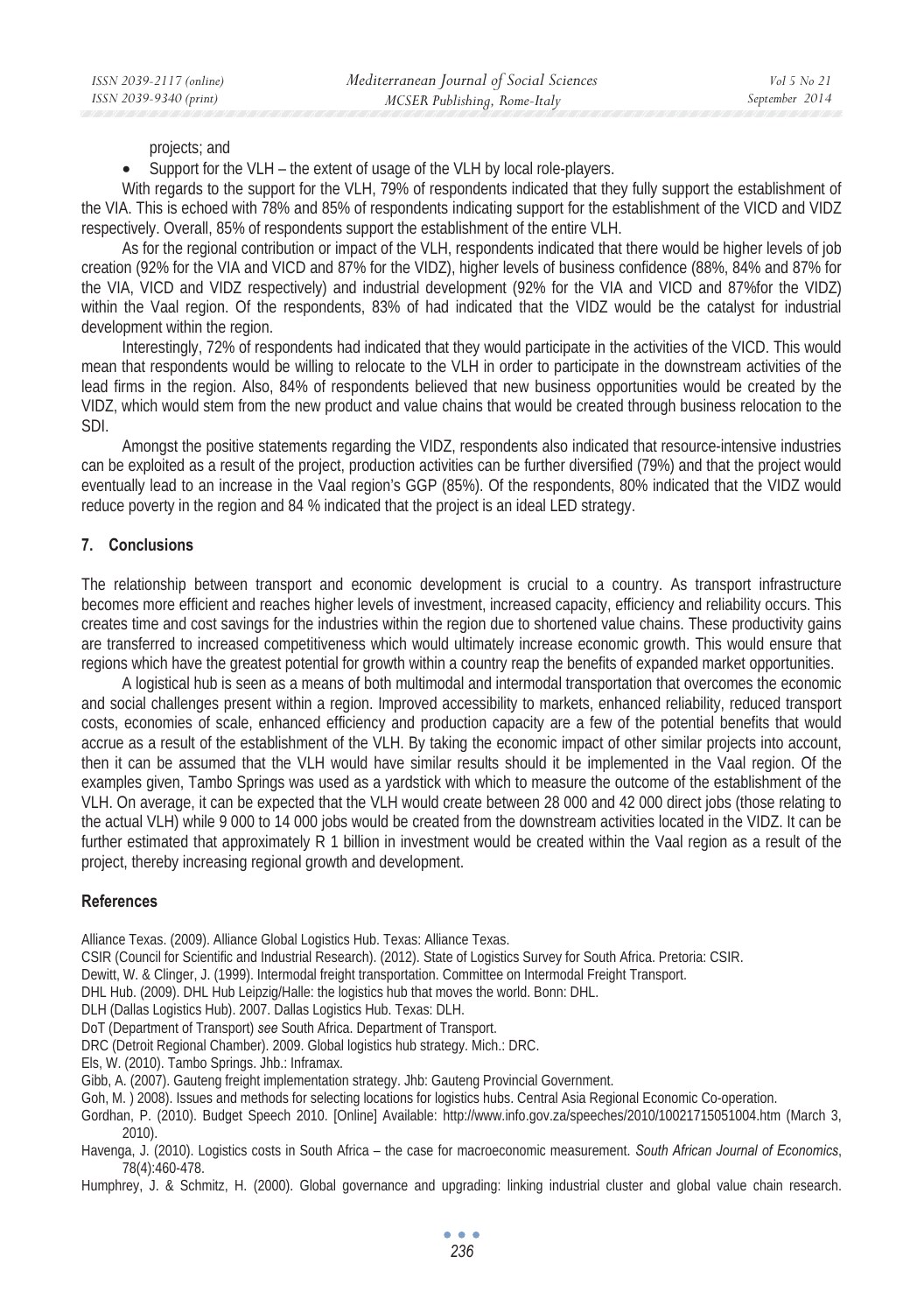projects; and

• Support for the VLH – the extent of usage of the VLH by local role-players.

With regards to the support for the VLH, 79% of respondents indicated that they fully support the establishment of the VIA. This is echoed with 78% and 85% of respondents indicating support for the establishment of the VICD and VIDZ respectively. Overall, 85% of respondents support the establishment of the entire VLH.

As for the regional contribution or impact of the VLH, respondents indicated that there would be higher levels of job creation (92% for the VIA and VICD and 87% for the VIDZ), higher levels of business confidence (88%, 84% and 87% for the VIA, VICD and VIDZ respectively) and industrial development (92% for the VIA and VICD and 87%for the VIDZ) within the Vaal region. Of the respondents, 83% of had indicated that the VIDZ would be the catalyst for industrial development within the region.

Interestingly, 72% of respondents had indicated that they would participate in the activities of the VICD. This would mean that respondents would be willing to relocate to the VLH in order to participate in the downstream activities of the lead firms in the region. Also, 84% of respondents believed that new business opportunities would be created by the VIDZ, which would stem from the new product and value chains that would be created through business relocation to the SDI.

Amongst the positive statements regarding the VIDZ, respondents also indicated that resource-intensive industries can be exploited as a result of the project, production activities can be further diversified (79%) and that the project would eventually lead to an increase in the Vaal region's GGP (85%). Of the respondents, 80% indicated that the VIDZ would reduce poverty in the region and 84 % indicated that the project is an ideal LED strategy.

### **7. Conclusions**

The relationship between transport and economic development is crucial to a country. As transport infrastructure becomes more efficient and reaches higher levels of investment, increased capacity, efficiency and reliability occurs. This creates time and cost savings for the industries within the region due to shortened value chains. These productivity gains are transferred to increased competitiveness which would ultimately increase economic growth. This would ensure that regions which have the greatest potential for growth within a country reap the benefits of expanded market opportunities.

A logistical hub is seen as a means of both multimodal and intermodal transportation that overcomes the economic and social challenges present within a region. Improved accessibility to markets, enhanced reliability, reduced transport costs, economies of scale, enhanced efficiency and production capacity are a few of the potential benefits that would accrue as a result of the establishment of the VLH. By taking the economic impact of other similar projects into account, then it can be assumed that the VLH would have similar results should it be implemented in the Vaal region. Of the examples given, Tambo Springs was used as a yardstick with which to measure the outcome of the establishment of the VLH. On average, it can be expected that the VLH would create between 28 000 and 42 000 direct jobs (those relating to the actual VLH) while 9 000 to 14 000 jobs would be created from the downstream activities located in the VIDZ. It can be further estimated that approximately R 1 billion in investment would be created within the Vaal region as a result of the project, thereby increasing regional growth and development.

### **References**

Alliance Texas. (2009). Alliance Global Logistics Hub. Texas: Alliance Texas.

CSIR (Council for Scientific and Industrial Research). (2012). State of Logistics Survey for South Africa. Pretoria: CSIR.

Dewitt, W. & Clinger, J. (1999). Intermodal freight transportation. Committee on Intermodal Freight Transport.

DHL Hub. (2009). DHL Hub Leipzig/Halle: the logistics hub that moves the world. Bonn: DHL.

DLH (Dallas Logistics Hub). 2007. Dallas Logistics Hub. Texas: DLH.

DoT (Department of Transport) *see* South Africa. Department of Transport.

DRC (Detroit Regional Chamber). 2009. Global logistics hub strategy. Mich.: DRC.

Els, W. (2010). Tambo Springs. Jhb.: Inframax.

Gibb, A. (2007). Gauteng freight implementation strategy. Jhb: Gauteng Provincial Government.

Goh, M. ) 2008). Issues and methods for selecting locations for logistics hubs. Central Asia Regional Economic Co-operation.

Gordhan, P. (2010). Budget Speech 2010. [Online] Available: http://www.info.gov.za/speeches/2010/10021715051004.htm (March 3, 2010).

Havenga, J. (2010). Logistics costs in South Africa – the case for macroeconomic measurement. *South African Journal of Economics*, 78(4):460-478.

Humphrey, J. & Schmitz, H. (2000). Global governance and upgrading: linking industrial cluster and global value chain research.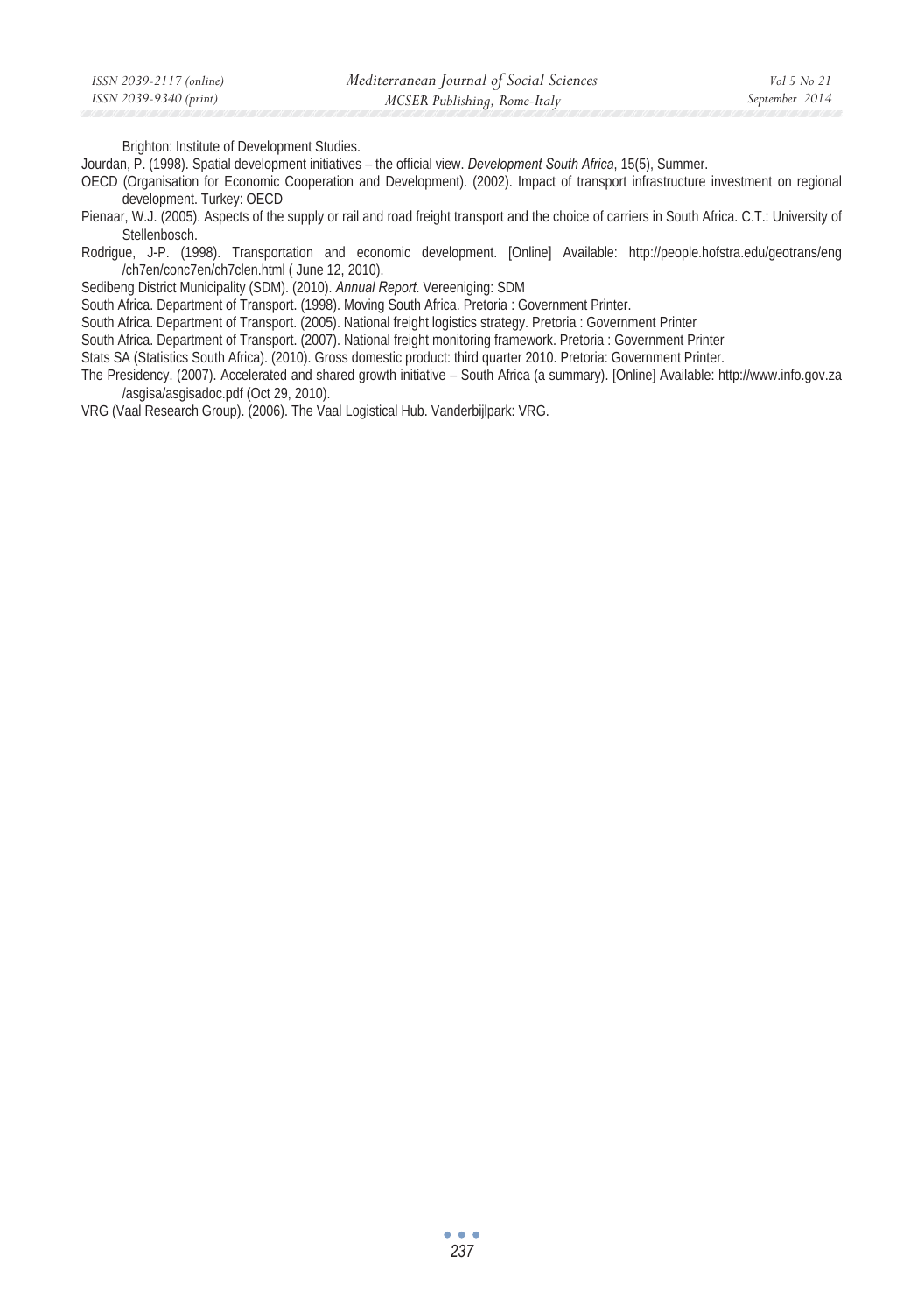Brighton: Institute of Development Studies.

Jourdan, P. (1998). Spatial development initiatives – the official view. *Development South Africa*, 15(5), Summer.

OECD (Organisation for Economic Cooperation and Development). (2002). Impact of transport infrastructure investment on regional development. Turkey: OECD

Pienaar, W.J. (2005). Aspects of the supply or rail and road freight transport and the choice of carriers in South Africa. C.T.: University of Stellenbosch.

Rodrigue, J-P. (1998). Transportation and economic development. [Online] Available: http://people.hofstra.edu/geotrans/eng /ch7en/conc7en/ch7clen.html ( June 12, 2010).

Sedibeng District Municipality (SDM). (2010). *Annual Report*. Vereeniging: SDM

South Africa. Department of Transport. (1998). Moving South Africa. Pretoria : Government Printer.

South Africa. Department of Transport. (2005). National freight logistics strategy. Pretoria : Government Printer

South Africa. Department of Transport. (2007). National freight monitoring framework. Pretoria : Government Printer

Stats SA (Statistics South Africa). (2010). Gross domestic product: third quarter 2010. Pretoria: Government Printer.

The Presidency. (2007). Accelerated and shared growth initiative – South Africa (a summary). [Online] Available: http://www.info.gov.za /asgisa/asgisadoc.pdf (Oct 29, 2010).

VRG (Vaal Research Group). (2006). The Vaal Logistical Hub. Vanderbijlpark: VRG.